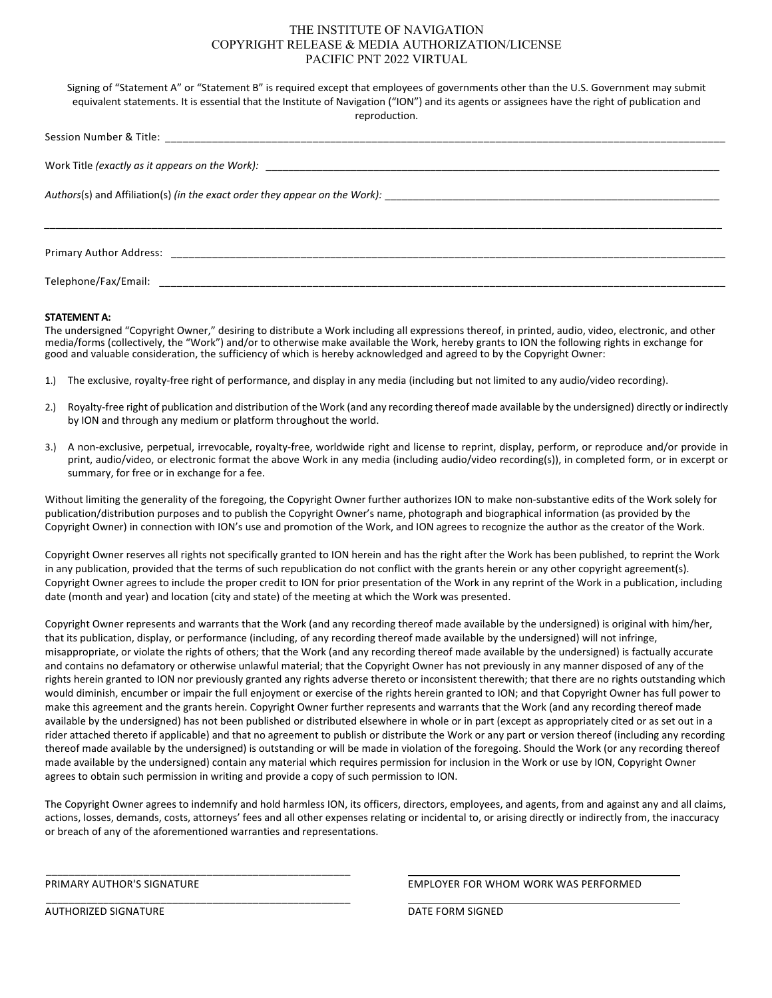# THE INSTITUTE OF NAVIGATION COPYRIGHT RELEASE & MEDIA AUTHORIZATION/LICENSE PACIFIC PNT 2022 VIRTUAL

Signing of "Statement A" or "Statement B" is required except that employees of governments other than the U.S. Government may submit equivalent statements. It is essential that the Institute of Navigation ("ION") and its agents or assignees have the right of publication and reproduction. Session Number & Title: \_\_\_\_\_\_\_\_\_\_\_\_\_\_\_\_\_\_\_\_\_\_\_\_\_\_\_\_\_\_\_\_\_\_\_\_\_\_\_\_\_\_\_\_\_\_\_\_\_\_\_\_\_\_\_\_\_\_\_\_\_\_\_\_\_\_\_\_\_\_\_\_\_\_\_\_\_\_\_\_\_\_\_\_\_\_\_\_\_\_\_\_\_\_\_ Work Title *(exactly as it appears on the Work):*  $\qquad \qquad$ *Authors*(s) and Affiliation(s) *(in the exact order they appear on the Work): \_\_\_\_\_\_\_\_\_\_\_\_\_\_\_\_\_\_\_\_\_\_\_\_\_\_\_\_\_\_\_\_\_\_\_\_\_\_\_\_\_\_\_\_\_\_\_\_\_\_\_\_\_\_\_\_\_\_\_ \_\_\_\_\_\_\_\_\_\_\_\_\_\_\_\_\_\_\_\_\_\_\_\_\_\_\_\_\_\_\_\_\_\_\_\_\_\_\_\_\_\_\_\_\_\_\_\_\_\_\_\_\_\_\_\_\_\_\_\_\_\_\_\_\_\_\_\_\_\_\_\_\_\_\_\_\_\_\_\_\_\_\_\_\_\_\_\_\_\_\_\_\_\_\_\_\_\_\_\_\_\_\_\_\_\_\_\_\_\_\_\_\_\_\_\_\_\_\_\_* Primary Author Address: Telephone/Fax/Email:  $\overline{a}$ 

## **STATEMENT A:**

The undersigned "Copyright Owner," desiring to distribute a Work including all expressions thereof, in printed, audio, video, electronic, and other media/forms (collectively, the "Work") and/or to otherwise make available the Work, hereby grants to ION the following rights in exchange for good and valuable consideration, the sufficiency of which is hereby acknowledged and agreed to by the Copyright Owner:

- 1.) The exclusive, royalty‐free right of performance, and display in any media (including but not limited to any audio/video recording).
- 2.) Royalty‐free right of publication and distribution of the Work (and any recording thereof made available by the undersigned) directly or indirectly by ION and through any medium or platform throughout the world.
- 3.) A non-exclusive, perpetual, irrevocable, royalty-free, worldwide right and license to reprint, display, perform, or reproduce and/or provide in print, audio/video, or electronic format the above Work in any media (including audio/video recording(s)), in completed form, or in excerpt or summary, for free or in exchange for a fee.

Without limiting the generality of the foregoing, the Copyright Owner further authorizes ION to make non‐substantive edits of the Work solely for publication/distribution purposes and to publish the Copyright Owner's name, photograph and biographical information (as provided by the Copyright Owner) in connection with ION's use and promotion of the Work, and ION agrees to recognize the author as the creator of the Work.

Copyright Owner reserves all rights not specifically granted to ION herein and has the right after the Work has been published, to reprint the Work in any publication, provided that the terms of such republication do not conflict with the grants herein or any other copyright agreement(s). Copyright Owner agrees to include the proper credit to ION for prior presentation of the Work in any reprint of the Work in a publication, including date (month and year) and location (city and state) of the meeting at which the Work was presented.

Copyright Owner represents and warrants that the Work (and any recording thereof made available by the undersigned) is original with him/her, that its publication, display, or performance (including, of any recording thereof made available by the undersigned) will not infringe, misappropriate, or violate the rights of others; that the Work (and any recording thereof made available by the undersigned) is factually accurate and contains no defamatory or otherwise unlawful material; that the Copyright Owner has not previously in any manner disposed of any of the rights herein granted to ION nor previously granted any rights adverse thereto or inconsistent therewith; that there are no rights outstanding which would diminish, encumber or impair the full enjoyment or exercise of the rights herein granted to ION; and that Copyright Owner has full power to make this agreement and the grants herein. Copyright Owner further represents and warrants that the Work (and any recording thereof made available by the undersigned) has not been published or distributed elsewhere in whole or in part (except as appropriately cited or as set out in a rider attached thereto if applicable) and that no agreement to publish or distribute the Work or any part or version thereof (including any recording thereof made available by the undersigned) is outstanding or will be made in violation of the foregoing. Should the Work (or any recording thereof made available by the undersigned) contain any material which requires permission for inclusion in the Work or use by ION, Copyright Owner agrees to obtain such permission in writing and provide a copy of such permission to ION.

The Copyright Owner agrees to indemnify and hold harmless ION, its officers, directors, employees, and agents, from and against any and all claims, actions, losses, demands, costs, attorneys' fees and all other expenses relating or incidental to, or arising directly or indirectly from, the inaccuracy or breach of any of the aforementioned warranties and representations.

\_\_\_\_\_\_\_\_\_\_\_\_\_\_\_\_\_\_\_\_\_\_\_\_\_\_\_\_\_\_\_\_\_\_\_\_\_\_\_\_\_\_\_\_\_\_\_\_\_\_\_\_\_

\_\_\_\_\_\_\_\_\_\_\_\_\_\_\_\_\_\_\_\_\_\_\_\_\_\_\_\_\_\_\_\_\_\_\_\_\_\_\_\_\_\_\_\_\_\_\_\_\_\_\_\_\_

AUTHORIZED SIGNATURE **The Signature of the Signature of the Signature of the Signature of the Signature of the Signature of the Signature of the Signature of the Signature of the Signature of the Signature of the Signature** 

PRIMARY AUTHOR'S SIGNATURE EMPLOYER FOR WHOM WORK WAS PERFORMED